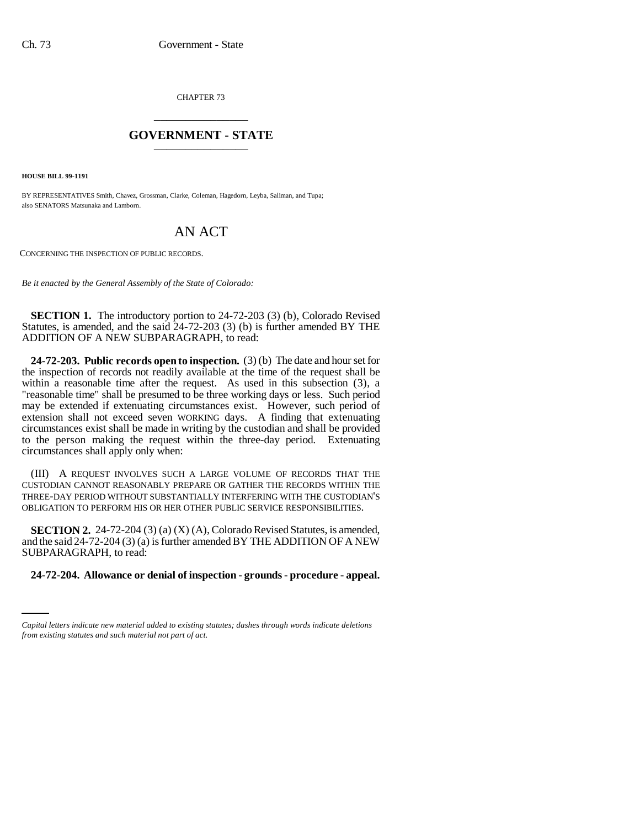CHAPTER 73 \_\_\_\_\_\_\_\_\_\_\_\_\_\_\_

## **GOVERNMENT - STATE** \_\_\_\_\_\_\_\_\_\_\_\_\_\_\_

**HOUSE BILL 99-1191** 

BY REPRESENTATIVES Smith, Chavez, Grossman, Clarke, Coleman, Hagedorn, Leyba, Saliman, and Tupa; also SENATORS Matsunaka and Lamborn.

## AN ACT

CONCERNING THE INSPECTION OF PUBLIC RECORDS.

*Be it enacted by the General Assembly of the State of Colorado:*

**SECTION 1.** The introductory portion to 24-72-203 (3) (b), Colorado Revised Statutes, is amended, and the said 24-72-203 (3) (b) is further amended BY THE ADDITION OF A NEW SUBPARAGRAPH, to read:

**24-72-203. Public records open to inspection.** (3) (b) The date and hour set for the inspection of records not readily available at the time of the request shall be within a reasonable time after the request. As used in this subsection (3), a "reasonable time" shall be presumed to be three working days or less. Such period may be extended if extenuating circumstances exist. However, such period of extension shall not exceed seven WORKING days. A finding that extenuating circumstances exist shall be made in writing by the custodian and shall be provided to the person making the request within the three-day period. Extenuating circumstances shall apply only when:

(III) A REQUEST INVOLVES SUCH A LARGE VOLUME OF RECORDS THAT THE CUSTODIAN CANNOT REASONABLY PREPARE OR GATHER THE RECORDS WITHIN THE THREE-DAY PERIOD WITHOUT SUBSTANTIALLY INTERFERING WITH THE CUSTODIAN'S OBLIGATION TO PERFORM HIS OR HER OTHER PUBLIC SERVICE RESPONSIBILITIES.

SUBPARAGRAPH, to read: **SECTION 2.** 24-72-204 (3) (a) (X) (A), Colorado Revised Statutes, is amended, and the said 24-72-204 (3) (a) is further amended BY THE ADDITION OF A NEW

## **24-72-204. Allowance or denial of inspection - grounds - procedure - appeal.**

*Capital letters indicate new material added to existing statutes; dashes through words indicate deletions from existing statutes and such material not part of act.*